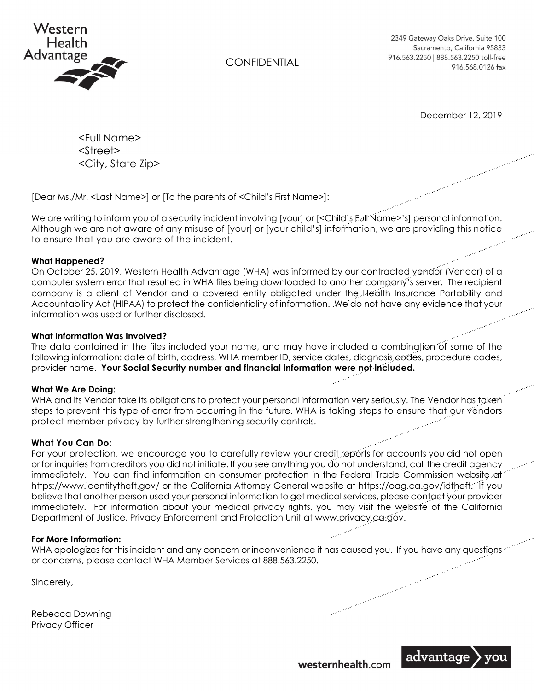

**CONFIDENTIAL** 

2349 Gateway Oaks Drive, Suite 100 Sacramento, California 95833 916.563.2250 | 888.563.2250 toll-free 916.568.0126 fax

December 12, 2019

 <Full Name> <Street> <City, State Zip>

[Dear Ms./Mr. <Last Name>] or [To the parents of <Child's First Name>]:

We are writing to inform you of a security incident involving [your] or [<Child's Full Name>'s] personal information. Although we are not aware of any misuse of [your] or [your child's] information, we are providing this notice to ensure that you are aware of the incident.

### **What Happened?**

On October 25, 2019, Western Health Advantage (WHA) was informed by our contracted vendor (Vendor) of a computer system error that resulted in WHA files being downloaded to another company's server. The recipient company is a client of Vendor and a covered entity obligated under the Health Insurance Portability and Accountability Act (HIPAA) to protect the confidentiality of information. We do not have any evidence that your information was used or further disclosed.

## **What Information Was Involved?**

The data contained in the files included your name, and may have included a combination of some of the following information: date of birth, address, WHA member ID, service dates, diagnosis codes, procedure codes, provider name. **Your Social Security number and financial information were not included.**

### **What We Are Doing:**

WHA and its Vendor take its obligations to protect your personal information very seriously. The Vendor has taken steps to prevent this type of error from occurring in the future. WHA is taking steps to ensure that our vendors protect member privacy by further strengthening security controls.

# **What You Can Do:**

For your protection, we encourage you to carefully review your credit reports for accounts you did not open or for inquiries from creditors you did not initiate. If you see anything you do not understand, call the credit agency immediately. You can find information on consumer protection in the Federal Trade Commission website at https://www.identitytheft.gov/ or the California Attorney General website at https://oag.ca.gov/idtheft. If you believe that another person used your personal information to get medical services, please contact your provider immediately. For information about your medical privacy rights, you may visit the website of the California Department of Justice, Privacy Enforcement and Protection Unit at www.privacy.ca.gov.

### **For More Information:**

WHA apologizes for this incident and any concern or inconvenience it has caused you. If you have any questions or concerns, please contact WHA Member Services at 888.563.2250.

Sincerely,

Rebecca Downing Privacy Officer

westernhealth.com